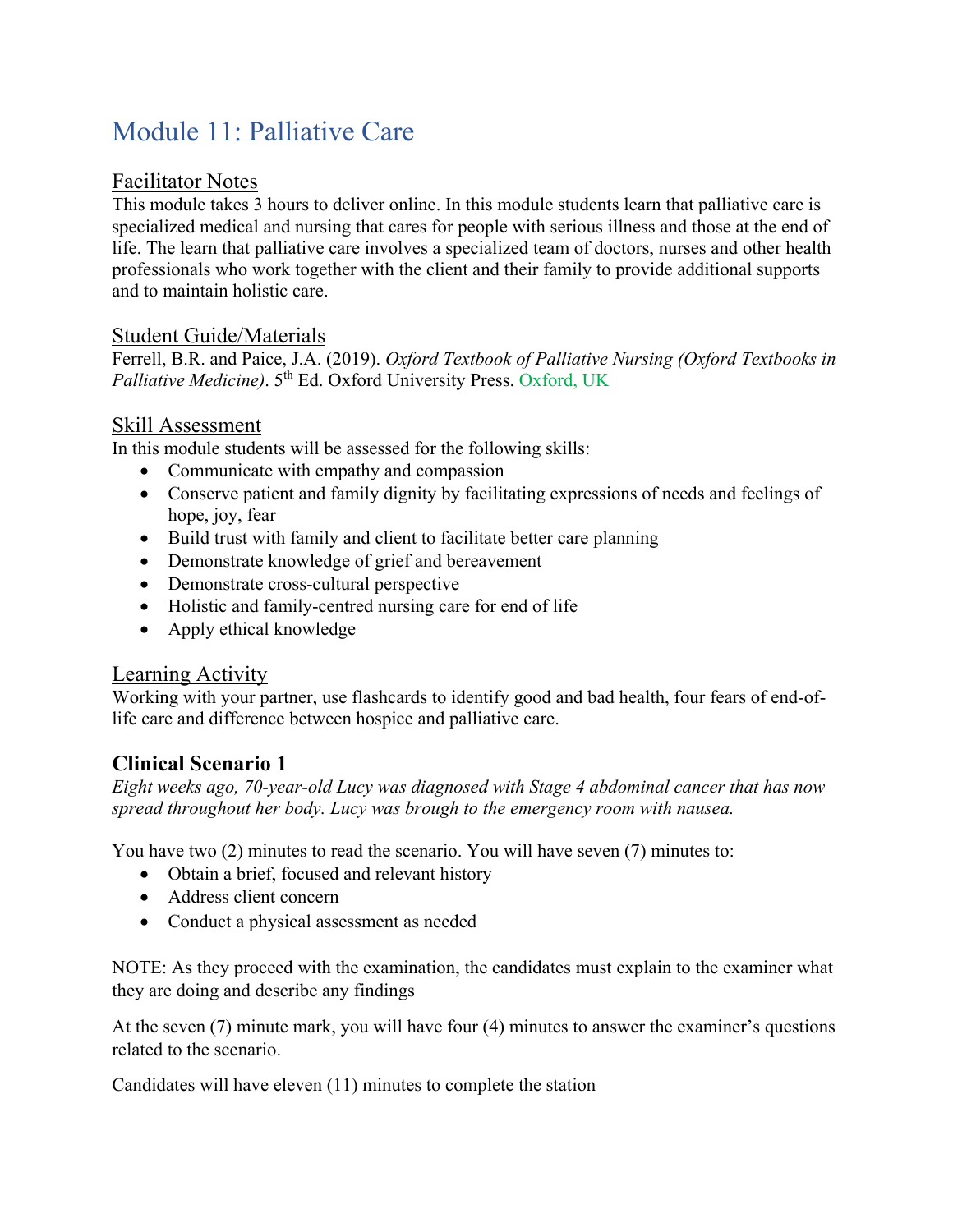# Module 11: Palliative Care

#### Facilitator Notes

This module takes 3 hours to deliver online. In this module students learn that palliative care is specialized medical and nursing that cares for people with serious illness and those at the end of life. The learn that palliative care involves a specialized team of doctors, nurses and other health professionals who work together with the client and their family to provide additional supports and to maintain holistic care.

#### Student Guide/Materials

Ferrell, B.R. and Paice, J.A. (2019). *Oxford Textbook of Palliative Nursing (Oxford Textbooks in Palliative Medicine*). 5<sup>th</sup> Ed. Oxford University Press. Oxford, UK

#### Skill Assessment

In this module students will be assessed for the following skills:

- Communicate with empathy and compassion
- Conserve patient and family dignity by facilitating expressions of needs and feelings of hope, joy, fear
- Build trust with family and client to facilitate better care planning
- Demonstrate knowledge of grief and bereavement
- Demonstrate cross-cultural perspective
- Holistic and family-centred nursing care for end of life
- Apply ethical knowledge

#### Learning Activity

Working with your partner, use flashcards to identify good and bad health, four fears of end-oflife care and difference between hospice and palliative care.

## **Clinical Scenario 1**

*Eight weeks ago, 70-year-old Lucy was diagnosed with Stage 4 abdominal cancer that has now spread throughout her body. Lucy was brough to the emergency room with nausea.* 

You have two (2) minutes to read the scenario. You will have seven (7) minutes to:

- Obtain a brief, focused and relevant history
- Address client concern
- Conduct a physical assessment as needed

NOTE: As they proceed with the examination, the candidates must explain to the examiner what they are doing and describe any findings

At the seven (7) minute mark, you will have four (4) minutes to answer the examiner's questions related to the scenario.

Candidates will have eleven (11) minutes to complete the station